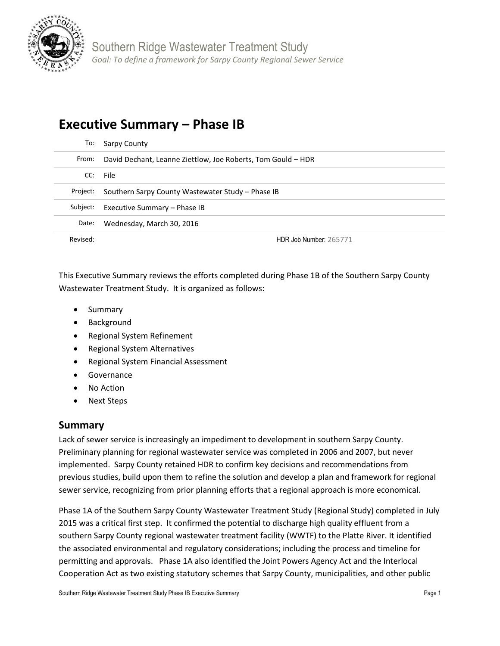

# **Executive Summary – Phase IB**

| To:      | Sarpy County                                                 |
|----------|--------------------------------------------------------------|
| From:    | David Dechant, Leanne Ziettlow, Joe Roberts, Tom Gould – HDR |
| CC:      | File                                                         |
| Project: | Southern Sarpy County Wastewater Study – Phase IB            |
| Subject: | Executive Summary – Phase IB                                 |
| Date:    | Wednesday, March 30, 2016                                    |
| Revised: | HDR Job Number: 265771                                       |

This Executive Summary reviews the efforts completed during Phase 1B of the Southern Sarpy County Wastewater Treatment Study. It is organized as follows:

- Summary
- Background
- Regional System Refinement
- Regional System Alternatives
- Regional System Financial Assessment
- **•** Governance
- No Action
- Next Steps

## **Summary**

Lack of sewer service is increasingly an impediment to development in southern Sarpy County. Preliminary planning for regional wastewater service was completed in 2006 and 2007, but never implemented. Sarpy County retained HDR to confirm key decisions and recommendations from previous studies, build upon them to refine the solution and develop a plan and framework for regional sewer service, recognizing from prior planning efforts that a regional approach is more economical.

Phase 1A of the Southern Sarpy County Wastewater Treatment Study (Regional Study) completed in July 2015 was a critical first step. It confirmed the potential to discharge high quality effluent from a southern Sarpy County regional wastewater treatment facility (WWTF) to the Platte River. It identified the associated environmental and regulatory considerations; including the process and timeline for permitting and approvals. Phase 1A also identified the Joint Powers Agency Act and the Interlocal Cooperation Act as two existing statutory schemes that Sarpy County, municipalities, and other public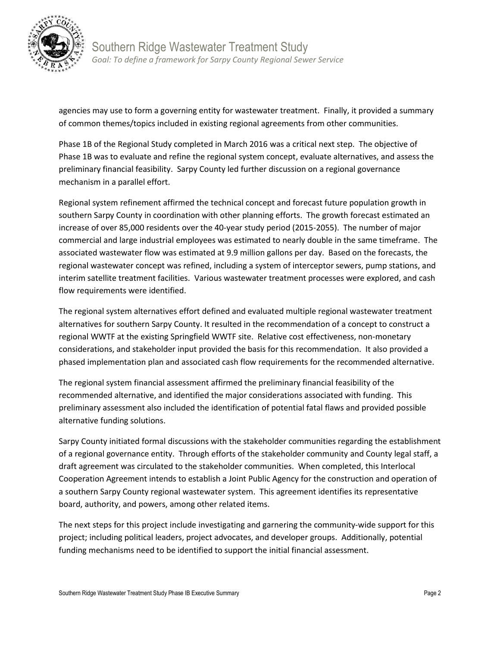

Southern Ridge Wastewater Treatment Study *Goal: To define a framework for Sarpy County Regional Sewer Service*

agencies may use to form a governing entity for wastewater treatment. Finally, it provided a summary of common themes/topics included in existing regional agreements from other communities.

Phase 1B of the Regional Study completed in March 2016 was a critical next step. The objective of Phase 1B was to evaluate and refine the regional system concept, evaluate alternatives, and assess the preliminary financial feasibility. Sarpy County led further discussion on a regional governance mechanism in a parallel effort.

Regional system refinement affirmed the technical concept and forecast future population growth in southern Sarpy County in coordination with other planning efforts. The growth forecast estimated an increase of over 85,000 residents over the 40-year study period (2015-2055). The number of major commercial and large industrial employees was estimated to nearly double in the same timeframe. The associated wastewater flow was estimated at 9.9 million gallons per day. Based on the forecasts, the regional wastewater concept was refined, including a system of interceptor sewers, pump stations, and interim satellite treatment facilities. Various wastewater treatment processes were explored, and cash flow requirements were identified.

The regional system alternatives effort defined and evaluated multiple regional wastewater treatment alternatives for southern Sarpy County. It resulted in the recommendation of a concept to construct a regional WWTF at the existing Springfield WWTF site. Relative cost effectiveness, non-monetary considerations, and stakeholder input provided the basis for this recommendation. It also provided a phased implementation plan and associated cash flow requirements for the recommended alternative.

The regional system financial assessment affirmed the preliminary financial feasibility of the recommended alternative, and identified the major considerations associated with funding. This preliminary assessment also included the identification of potential fatal flaws and provided possible alternative funding solutions.

Sarpy County initiated formal discussions with the stakeholder communities regarding the establishment of a regional governance entity. Through efforts of the stakeholder community and County legal staff, a draft agreement was circulated to the stakeholder communities. When completed, this Interlocal Cooperation Agreement intends to establish a Joint Public Agency for the construction and operation of a southern Sarpy County regional wastewater system. This agreement identifies its representative board, authority, and powers, among other related items.

The next steps for this project include investigating and garnering the community-wide support for this project; including political leaders, project advocates, and developer groups. Additionally, potential funding mechanisms need to be identified to support the initial financial assessment.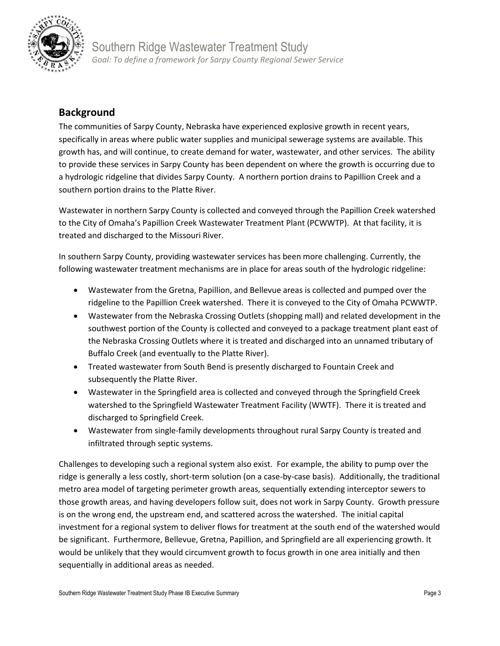

## Southern Ridge Wastewater Treatment Study *Goal: To define a framework for Sarpy County Regional Sewer Service*

## **Background**

The communities of Sarpy County, Nebraska have experienced explosive growth in recent years, specifically in areas where public water supplies and municipal sewerage systems are available. This growth has, and will continue, to create demand for water, wastewater, and other services. The ability to provide these services in Sarpy County has been dependent on where the growth is occurring due to a hydrologic ridgeline that divides Sarpy County. A northern portion drains to Papillion Creek and a southern portion drains to the Platte River.

Wastewater in northern Sarpy County is collected and conveyed through the Papillion Creek watershed to the City of Omaha's Papillion Creek Wastewater Treatment Plant (PCWWTP). At that facility, it is treated and discharged to the Missouri River.

In southern Sarpy County, providing wastewater services has been more challenging. Currently, the following wastewater treatment mechanisms are in place for areas south of the hydrologic ridgeline:

- Wastewater from the Gretna, Papillion, and Bellevue areas is collected and pumped over the ridgeline to the Papillion Creek watershed. There it is conveyed to the City of Omaha PCWWTP.
- Wastewater from the Nebraska Crossing Outlets (shopping mall) and related development in the southwest portion of the County is collected and conveyed to a package treatment plant east of the Nebraska Crossing Outlets where it is treated and discharged into an unnamed tributary of Buffalo Creek (and eventually to the Platte River).
- Treated wastewater from South Bend is presently discharged to Fountain Creek and subsequently the Platte River.
- Wastewater in the Springfield area is collected and conveyed through the Springfield Creek watershed to the Springfield Wastewater Treatment Facility (WWTF). There it is treated and discharged to Springfield Creek.
- Wastewater from single-family developments throughout rural Sarpy County is treated and infiltrated through septic systems.

Challenges to developing such a regional system also exist. For example, the ability to pump over the ridge is generally a less costly, short-term solution (on a case-by-case basis). Additionally, the traditional metro area model of targeting perimeter growth areas, sequentially extending interceptor sewers to those growth areas, and having developers follow suit, does not work in Sarpy County. Growth pressure is on the wrong end, the upstream end, and scattered across the watershed. The initial capital investment for a regional system to deliver flows for treatment at the south end of the watershed would be significant. Furthermore, Bellevue, Gretna, Papillion, and Springfield are all experiencing growth. It would be unlikely that they would circumvent growth to focus growth in one area initially and then sequentially in additional areas as needed.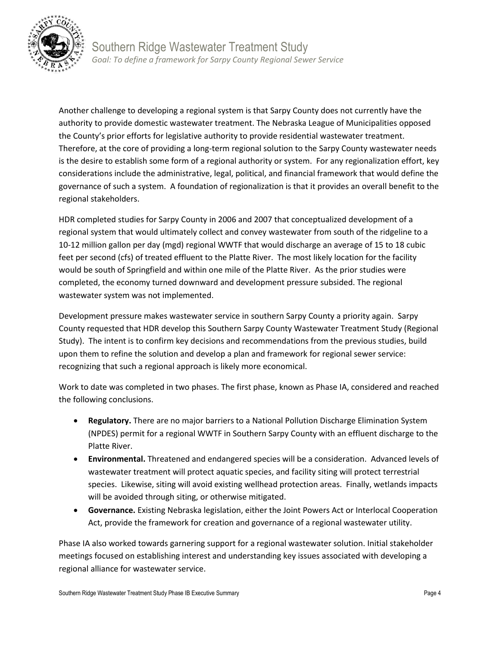

Another challenge to developing a regional system is that Sarpy County does not currently have the authority to provide domestic wastewater treatment. The Nebraska League of Municipalities opposed the County's prior efforts for legislative authority to provide residential wastewater treatment. Therefore, at the core of providing a long-term regional solution to the Sarpy County wastewater needs is the desire to establish some form of a regional authority or system. For any regionalization effort, key considerations include the administrative, legal, political, and financial framework that would define the governance of such a system. A foundation of regionalization is that it provides an overall benefit to the regional stakeholders.

HDR completed studies for Sarpy County in 2006 and 2007 that conceptualized development of a regional system that would ultimately collect and convey wastewater from south of the ridgeline to a 10-12 million gallon per day (mgd) regional WWTF that would discharge an average of 15 to 18 cubic feet per second (cfs) of treated effluent to the Platte River. The most likely location for the facility would be south of Springfield and within one mile of the Platte River. As the prior studies were completed, the economy turned downward and development pressure subsided. The regional wastewater system was not implemented.

Development pressure makes wastewater service in southern Sarpy County a priority again. Sarpy County requested that HDR develop this Southern Sarpy County Wastewater Treatment Study (Regional Study). The intent is to confirm key decisions and recommendations from the previous studies, build upon them to refine the solution and develop a plan and framework for regional sewer service: recognizing that such a regional approach is likely more economical.

Work to date was completed in two phases. The first phase, known as Phase IA, considered and reached the following conclusions.

- **Regulatory.** There are no major barriers to a National Pollution Discharge Elimination System (NPDES) permit for a regional WWTF in Southern Sarpy County with an effluent discharge to the Platte River.
- **Environmental.** Threatened and endangered species will be a consideration. Advanced levels of wastewater treatment will protect aquatic species, and facility siting will protect terrestrial species. Likewise, siting will avoid existing wellhead protection areas. Finally, wetlands impacts will be avoided through siting, or otherwise mitigated.
- **Governance.** Existing Nebraska legislation, either the Joint Powers Act or Interlocal Cooperation Act, provide the framework for creation and governance of a regional wastewater utility.

Phase IA also worked towards garnering support for a regional wastewater solution. Initial stakeholder meetings focused on establishing interest and understanding key issues associated with developing a regional alliance for wastewater service.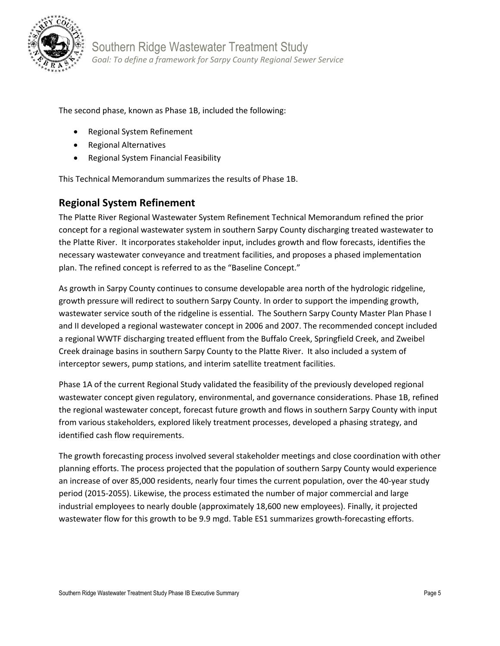

The second phase, known as Phase 1B, included the following:

- Regional System Refinement
- Regional Alternatives
- Regional System Financial Feasibility

This Technical Memorandum summarizes the results of Phase 1B.

## **Regional System Refinement**

The Platte River Regional Wastewater System Refinement Technical Memorandum refined the prior concept for a regional wastewater system in southern Sarpy County discharging treated wastewater to the Platte River. It incorporates stakeholder input, includes growth and flow forecasts, identifies the necessary wastewater conveyance and treatment facilities, and proposes a phased implementation plan. The refined concept is referred to as the "Baseline Concept."

As growth in Sarpy County continues to consume developable area north of the hydrologic ridgeline, growth pressure will redirect to southern Sarpy County. In order to support the impending growth, wastewater service south of the ridgeline is essential. The Southern Sarpy County Master Plan Phase I and II developed a regional wastewater concept in 2006 and 2007. The recommended concept included a regional WWTF discharging treated effluent from the Buffalo Creek, Springfield Creek, and Zweibel Creek drainage basins in southern Sarpy County to the Platte River. It also included a system of interceptor sewers, pump stations, and interim satellite treatment facilities.

Phase 1A of the current Regional Study validated the feasibility of the previously developed regional wastewater concept given regulatory, environmental, and governance considerations. Phase 1B, refined the regional wastewater concept, forecast future growth and flows in southern Sarpy County with input from various stakeholders, explored likely treatment processes, developed a phasing strategy, and identified cash flow requirements.

The growth forecasting process involved several stakeholder meetings and close coordination with other planning efforts. The process projected that the population of southern Sarpy County would experience an increase of over 85,000 residents, nearly four times the current population, over the 40-year study period (2015-2055). Likewise, the process estimated the number of major commercial and large industrial employees to nearly double (approximately 18,600 new employees). Finally, it projected wastewater flow for this growth to be 9.9 mgd. Table ES1 summarizes growth-forecasting efforts.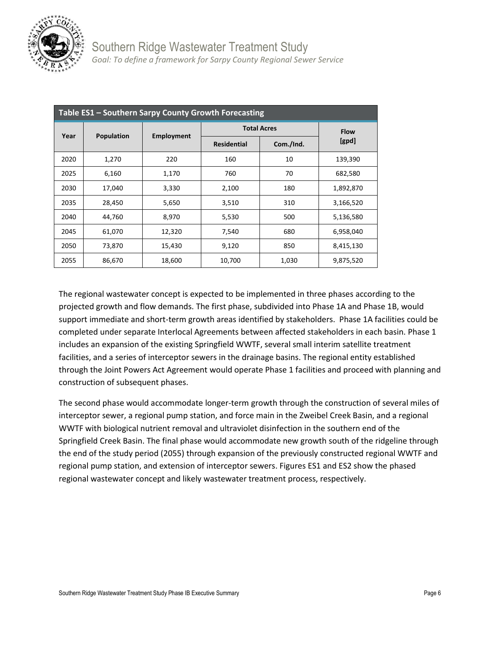

| Table ES1 - Southern Sarpy County Growth Forecasting |            |            |                    |             |           |  |  |
|------------------------------------------------------|------------|------------|--------------------|-------------|-----------|--|--|
| Year                                                 | Population | Employment | <b>Total Acres</b> | <b>Flow</b> |           |  |  |
|                                                      |            |            | <b>Residential</b> | Com./Ind.   | [qpd]     |  |  |
| 2020                                                 | 1,270      | 220        | 160                | 10          | 139,390   |  |  |
| 2025                                                 | 6,160      | 1,170      | 760                | 70          | 682,580   |  |  |
| 2030                                                 | 17,040     | 3,330      | 2,100              | 180         | 1,892,870 |  |  |
| 2035                                                 | 28,450     | 5,650      | 3,510              | 310         | 3,166,520 |  |  |
| 2040                                                 | 44,760     | 8,970      | 5,530              | 500         | 5,136,580 |  |  |
| 2045                                                 | 61,070     | 12,320     | 7,540              | 680         | 6,958,040 |  |  |
| 2050                                                 | 73,870     | 15,430     | 9,120              | 850         | 8,415,130 |  |  |
| 2055                                                 | 86,670     | 18,600     | 10,700             | 1,030       | 9,875,520 |  |  |

The regional wastewater concept is expected to be implemented in three phases according to the projected growth and flow demands. The first phase, subdivided into Phase 1A and Phase 1B, would support immediate and short-term growth areas identified by stakeholders. Phase 1A facilities could be completed under separate Interlocal Agreements between affected stakeholders in each basin. Phase 1 includes an expansion of the existing Springfield WWTF, several small interim satellite treatment facilities, and a series of interceptor sewers in the drainage basins. The regional entity established through the Joint Powers Act Agreement would operate Phase 1 facilities and proceed with planning and construction of subsequent phases.

The second phase would accommodate longer-term growth through the construction of several miles of interceptor sewer, a regional pump station, and force main in the Zweibel Creek Basin, and a regional WWTF with biological nutrient removal and ultraviolet disinfection in the southern end of the Springfield Creek Basin. The final phase would accommodate new growth south of the ridgeline through the end of the study period (2055) through expansion of the previously constructed regional WWTF and regional pump station, and extension of interceptor sewers. Figures ES1 and ES2 show the phased regional wastewater concept and likely wastewater treatment process, respectively.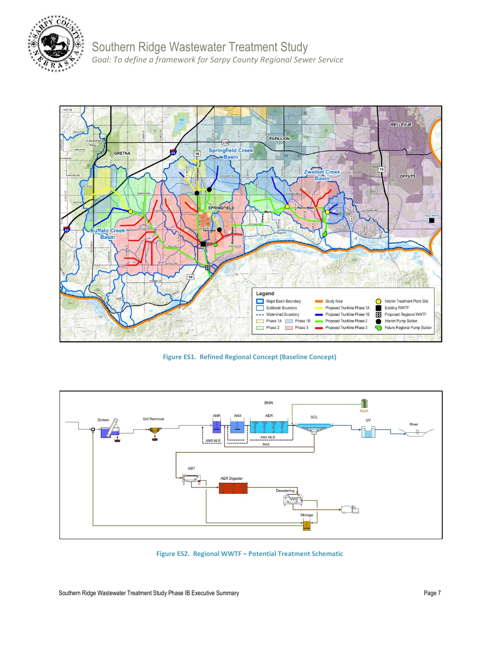

Southern Ridge Wastewater Treatment Study *Goal: To define a framework for Sarpy County Regional Sewer Service*



**Figure ES1. Refined Regional Concept (Baseline Concept)**



**Figure ES2. Regional WWTF – Potential Treatment Schematic**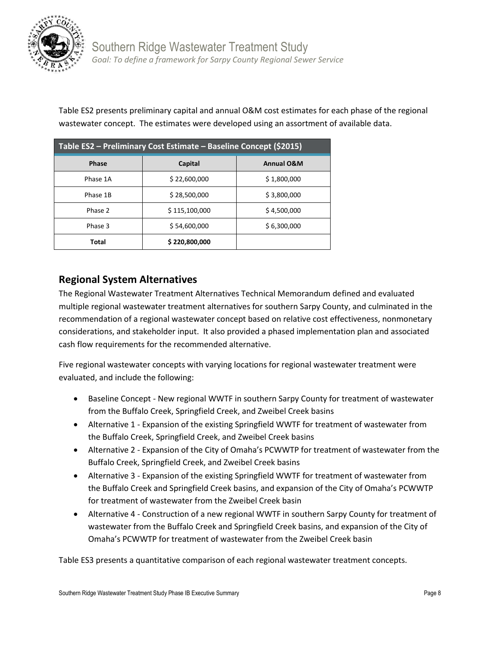

Table ES2 presents preliminary capital and annual O&M cost estimates for each phase of the regional wastewater concept. The estimates were developed using an assortment of available data.

| Table ES2 - Preliminary Cost Estimate - Baseline Concept (\$2015) |               |                       |  |  |
|-------------------------------------------------------------------|---------------|-----------------------|--|--|
| <b>Phase</b>                                                      | Capital       | <b>Annual O&amp;M</b> |  |  |
| Phase 1A                                                          | \$22,600,000  | \$1,800,000           |  |  |
| Phase 1B                                                          | \$28,500,000  | \$3,800,000           |  |  |
| Phase 2                                                           | \$115,100,000 | \$4,500,000           |  |  |
| Phase 3                                                           | \$54,600,000  | \$6,300,000           |  |  |
| Total                                                             | \$220,800,000 |                       |  |  |

## **Regional System Alternatives**

The Regional Wastewater Treatment Alternatives Technical Memorandum defined and evaluated multiple regional wastewater treatment alternatives for southern Sarpy County, and culminated in the recommendation of a regional wastewater concept based on relative cost effectiveness, nonmonetary considerations, and stakeholder input. It also provided a phased implementation plan and associated cash flow requirements for the recommended alternative.

Five regional wastewater concepts with varying locations for regional wastewater treatment were evaluated, and include the following:

- Baseline Concept New regional WWTF in southern Sarpy County for treatment of wastewater from the Buffalo Creek, Springfield Creek, and Zweibel Creek basins
- Alternative 1 Expansion of the existing Springfield WWTF for treatment of wastewater from the Buffalo Creek, Springfield Creek, and Zweibel Creek basins
- Alternative 2 Expansion of the City of Omaha's PCWWTP for treatment of wastewater from the Buffalo Creek, Springfield Creek, and Zweibel Creek basins
- Alternative 3 Expansion of the existing Springfield WWTF for treatment of wastewater from the Buffalo Creek and Springfield Creek basins, and expansion of the City of Omaha's PCWWTP for treatment of wastewater from the Zweibel Creek basin
- Alternative 4 Construction of a new regional WWTF in southern Sarpy County for treatment of wastewater from the Buffalo Creek and Springfield Creek basins, and expansion of the City of Omaha's PCWWTP for treatment of wastewater from the Zweibel Creek basin

Table ES3 presents a quantitative comparison of each regional wastewater treatment concepts.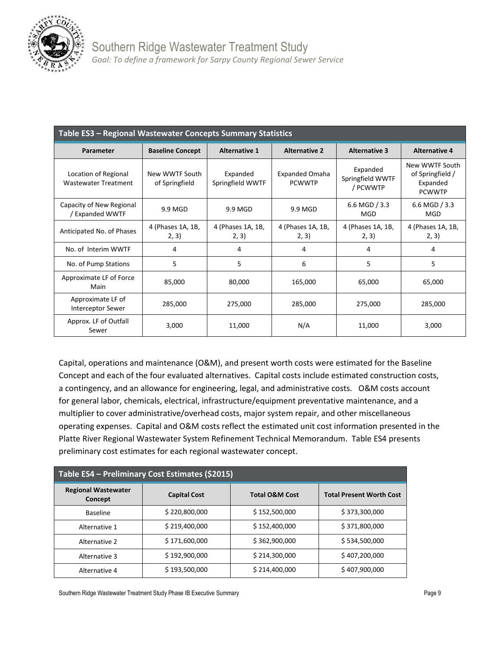

| Table ES3 - Regional Wastewater Concepts Summary Statistics |                                  |                              |                                        |                                          |                                                                 |  |  |
|-------------------------------------------------------------|----------------------------------|------------------------------|----------------------------------------|------------------------------------------|-----------------------------------------------------------------|--|--|
| Parameter                                                   | <b>Baseline Concept</b>          | <b>Alternative 1</b>         | <b>Alternative 2</b>                   |                                          | <b>Alternative 4</b>                                            |  |  |
| Location of Regional<br><b>Wastewater Treatment</b>         | New WWTF South<br>of Springfield | Expanded<br>Springfield WWTF | <b>Expanded Omaha</b><br><b>PCWWTP</b> | Expanded<br>Springfield WWTF<br>/ PCWWTP | New WWTF South<br>of Springfield /<br>Expanded<br><b>PCWWTP</b> |  |  |
| Capacity of New Regional<br>/ Expanded WWTF                 | 9.9 MGD                          | 9.9 MGD                      | 9.9 MGD                                | 6.6 MGD $/$ 3.3<br>MGD                   | 6.6 MGD $/3.3$<br>MGD                                           |  |  |
| Anticipated No. of Phases                                   | 4 (Phases 1A, 1B,<br>2, 3)       | 4 (Phases 1A, 1B,<br>2, 3)   | 4 (Phases 1A, 1B,<br>2, 3)             | 4 (Phases 1A, 1B,<br>2, 3)               | 4 (Phases 1A, 1B,<br>2, 3)                                      |  |  |
| No. of Interim WWTF                                         | 4                                | 4                            | 4                                      | 4                                        | 4                                                               |  |  |
| No. of Pump Stations                                        | 5                                | 5                            | 6                                      | 5                                        | 5                                                               |  |  |
| Approximate LF of Force<br>Main                             | 85,000                           | 80,000                       | 165,000                                | 65,000                                   | 65,000                                                          |  |  |
| Approximate LF of<br><b>Interceptor Sewer</b>               | 285,000                          | 275,000                      | 285,000                                | 275,000                                  | 285,000                                                         |  |  |
| Approx. LF of Outfall<br>Sewer                              | 3,000                            | 11,000                       | N/A                                    | 11,000                                   | 3,000                                                           |  |  |

Capital, operations and maintenance (O&M), and present worth costs were estimated for the Baseline Concept and each of the four evaluated alternatives. Capital costs include estimated construction costs, a contingency, and an allowance for engineering, legal, and administrative costs. O&M costs account for general labor, chemicals, electrical, infrastructure/equipment preventative maintenance, and a multiplier to cover administrative/overhead costs, major system repair, and other miscellaneous operating expenses. Capital and O&M costs reflect the estimated unit cost information presented in the Platte River Regional Wastewater System Refinement Technical Memorandum. Table ES4 presents preliminary cost estimates for each regional wastewater concept.

| Table ES4 - Preliminary Cost Estimates (\$2015) |                     |                           |                                 |  |  |  |
|-------------------------------------------------|---------------------|---------------------------|---------------------------------|--|--|--|
| <b>Regional Wastewater</b><br>Concept           | <b>Capital Cost</b> | <b>Total O&amp;M Cost</b> | <b>Total Present Worth Cost</b> |  |  |  |
| <b>Baseline</b>                                 | \$220,800,000       | \$152,500,000             | \$373,300,000                   |  |  |  |
| Alternative 1                                   | \$219,400,000       | \$152,400,000             | \$371,800,000                   |  |  |  |
| Alternative 2                                   | \$171,600,000       | \$362,900,000             | \$534,500,000                   |  |  |  |
| Alternative 3                                   | \$192,900,000       | \$214,300,000             | \$407,200,000                   |  |  |  |
| Alternative 4                                   | \$193,500,000       | \$214,400,000             | \$407,900,000                   |  |  |  |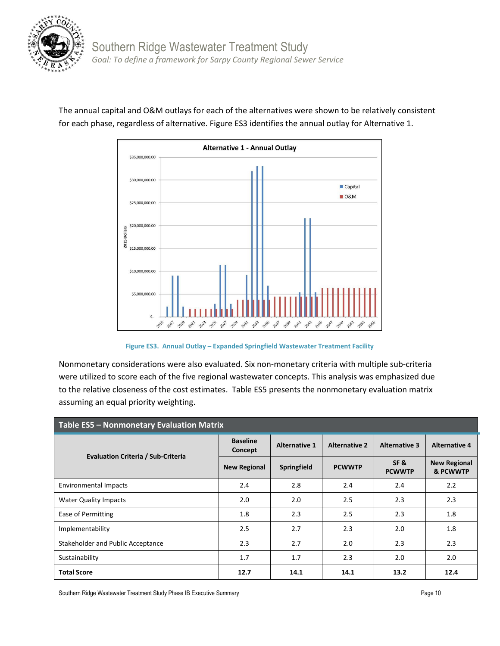



The annual capital and O&M outlays for each of the alternatives were shown to be relatively consistent for each phase, regardless of alternative. Figure ES3 identifies the annual outlay for Alternative 1.

**Figure ES3. Annual Outlay – Expanded Springfield Wastewater Treatment Facility**

Nonmonetary considerations were also evaluated. Six non-monetary criteria with multiple sub-criteria were utilized to score each of the five regional wastewater concepts. This analysis was emphasized due to the relative closeness of the cost estimates. Table ES5 presents the nonmonetary evaluation matrix assuming an equal priority weighting.

| <b>Table ES5 - Nonmonetary Evaluation Matrix</b> |                            |                      |                      |                      |                                 |  |
|--------------------------------------------------|----------------------------|----------------------|----------------------|----------------------|---------------------------------|--|
|                                                  | <b>Baseline</b><br>Concept | <b>Alternative 1</b> | <b>Alternative 2</b> | <b>Alternative 3</b> | <b>Alternative 4</b>            |  |
| <b>Evaluation Criteria / Sub-Criteria</b>        | <b>New Regional</b>        | Springfield          | <b>PCWWTP</b>        | SF&<br><b>PCWWTP</b> | <b>New Regional</b><br>& PCWWTP |  |
| <b>Environmental Impacts</b>                     | 2.4                        | 2.8                  | 2.4                  | 2.4                  | 2.2                             |  |
| <b>Water Quality Impacts</b>                     | 2.0                        | 2.0                  | 2.5                  | 2.3                  | 2.3                             |  |
| Ease of Permitting                               | 1.8                        | 2.3                  | 2.5                  | 2.3                  | 1.8                             |  |
| Implementability                                 | 2.5                        | 2.7                  | 2.3                  | 2.0                  | 1.8                             |  |
| Stakeholder and Public Acceptance                | 2.3                        | 2.7                  | 2.0                  | 2.3                  | 2.3                             |  |
| Sustainability                                   | 1.7                        | 1.7                  | 2.3                  | 2.0                  | 2.0                             |  |
| <b>Total Score</b>                               | 12.7                       | 14.1                 | 14.1                 | 13.2                 | 12.4                            |  |

Southern Ridge Wastewater Treatment Study Phase IB Executive Summary **Page 10 Page 10 Page 10 Page 10**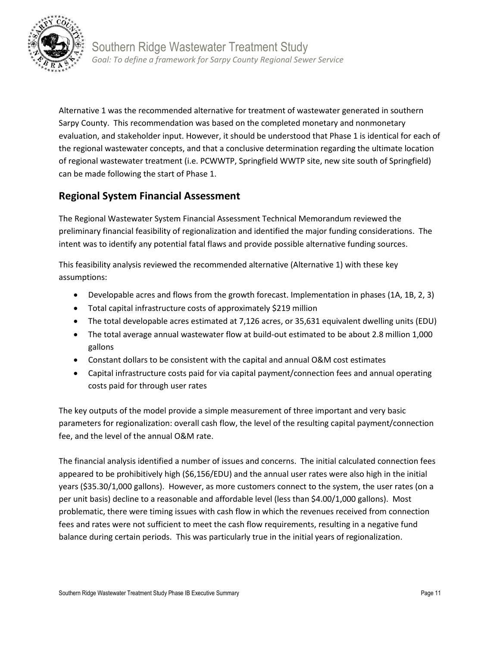

Alternative 1 was the recommended alternative for treatment of wastewater generated in southern Sarpy County. This recommendation was based on the completed monetary and nonmonetary evaluation, and stakeholder input. However, it should be understood that Phase 1 is identical for each of the regional wastewater concepts, and that a conclusive determination regarding the ultimate location of regional wastewater treatment (i.e. PCWWTP, Springfield WWTP site, new site south of Springfield) can be made following the start of Phase 1.

## **Regional System Financial Assessment**

The Regional Wastewater System Financial Assessment Technical Memorandum reviewed the preliminary financial feasibility of regionalization and identified the major funding considerations. The intent was to identify any potential fatal flaws and provide possible alternative funding sources.

This feasibility analysis reviewed the recommended alternative (Alternative 1) with these key assumptions:

- Developable acres and flows from the growth forecast. Implementation in phases (1A, 1B, 2, 3)
- Total capital infrastructure costs of approximately \$219 million
- The total developable acres estimated at 7,126 acres, or 35,631 equivalent dwelling units (EDU)
- The total average annual wastewater flow at build-out estimated to be about 2.8 million 1,000 gallons
- Constant dollars to be consistent with the capital and annual O&M cost estimates
- Capital infrastructure costs paid for via capital payment/connection fees and annual operating costs paid for through user rates

The key outputs of the model provide a simple measurement of three important and very basic parameters for regionalization: overall cash flow, the level of the resulting capital payment/connection fee, and the level of the annual O&M rate.

The financial analysis identified a number of issues and concerns. The initial calculated connection fees appeared to be prohibitively high (\$6,156/EDU) and the annual user rates were also high in the initial years (\$35.30/1,000 gallons). However, as more customers connect to the system, the user rates (on a per unit basis) decline to a reasonable and affordable level (less than \$4.00/1,000 gallons). Most problematic, there were timing issues with cash flow in which the revenues received from connection fees and rates were not sufficient to meet the cash flow requirements, resulting in a negative fund balance during certain periods. This was particularly true in the initial years of regionalization.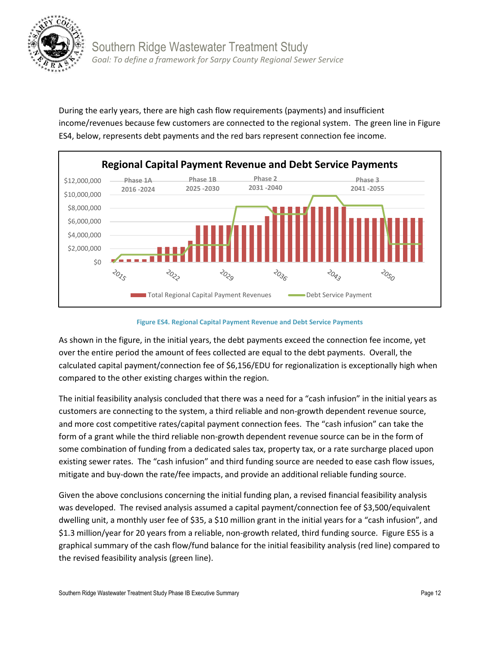

During the early years, there are high cash flow requirements (payments) and insufficient income/revenues because few customers are connected to the regional system. The green line in Figure ES4, below, represents debt payments and the red bars represent connection fee income.



**Figure ES4. Regional Capital Payment Revenue and Debt Service Payments**

As shown in the figure, in the initial years, the debt payments exceed the connection fee income, yet over the entire period the amount of fees collected are equal to the debt payments. Overall, the calculated capital payment/connection fee of \$6,156/EDU for regionalization is exceptionally high when compared to the other existing charges within the region.

The initial feasibility analysis concluded that there was a need for a "cash infusion" in the initial years as customers are connecting to the system, a third reliable and non-growth dependent revenue source, and more cost competitive rates/capital payment connection fees. The "cash infusion" can take the form of a grant while the third reliable non-growth dependent revenue source can be in the form of some combination of funding from a dedicated sales tax, property tax, or a rate surcharge placed upon existing sewer rates. The "cash infusion" and third funding source are needed to ease cash flow issues, mitigate and buy-down the rate/fee impacts, and provide an additional reliable funding source.

Given the above conclusions concerning the initial funding plan, a revised financial feasibility analysis was developed. The revised analysis assumed a capital payment/connection fee of \$3,500/equivalent dwelling unit, a monthly user fee of \$35, a \$10 million grant in the initial years for a "cash infusion", and \$1.3 million/year for 20 years from a reliable, non-growth related, third funding source. Figure ES5 is a graphical summary of the cash flow/fund balance for the initial feasibility analysis (red line) compared to the revised feasibility analysis (green line).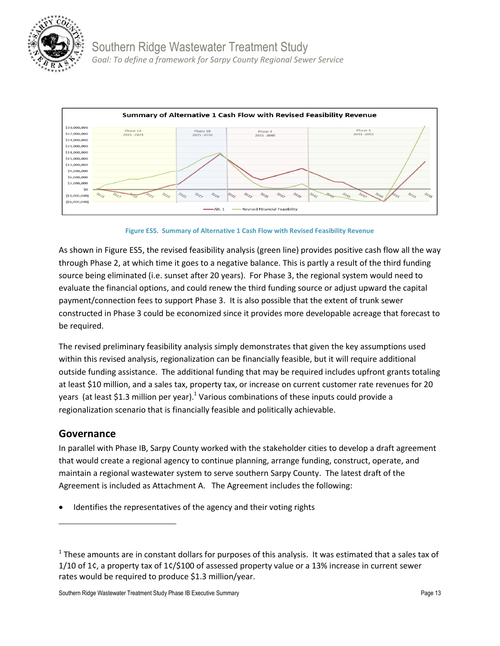



**Figure ES5. Summary of Alternative 1 Cash Flow with Revised Feasibility Revenue**

As shown in Figure ES5, the revised feasibility analysis (green line) provides positive cash flow all the way through Phase 2, at which time it goes to a negative balance. This is partly a result of the third funding source being eliminated (i.e. sunset after 20 years). For Phase 3, the regional system would need to evaluate the financial options, and could renew the third funding source or adjust upward the capital payment/connection fees to support Phase 3. It is also possible that the extent of trunk sewer constructed in Phase 3 could be economized since it provides more developable acreage that forecast to be required.

The revised preliminary feasibility analysis simply demonstrates that given the key assumptions used within this revised analysis, regionalization can be financially feasible, but it will require additional outside funding assistance. The additional funding that may be required includes upfront grants totaling at least \$10 million, and a sales tax, property tax, or increase on current customer rate revenues for 20 years (at least \$1.3 million per year).<sup>1</sup> Various combinations of these inputs could provide a regionalization scenario that is financially feasible and politically achievable.

## **Governance**

 $\overline{\phantom{a}}$ 

In parallel with Phase IB, Sarpy County worked with the stakeholder cities to develop a draft agreement that would create a regional agency to continue planning, arrange funding, construct, operate, and maintain a regional wastewater system to serve southern Sarpy County. The latest draft of the Agreement is included as Attachment A. The Agreement includes the following:

Identifies the representatives of the agency and their voting rights

 $^1$  These amounts are in constant dollars for purposes of this analysis. It was estimated that a sales tax of 1/10 of 1¢, a property tax of 1¢/\$100 of assessed property value or a 13% increase in current sewer rates would be required to produce \$1.3 million/year.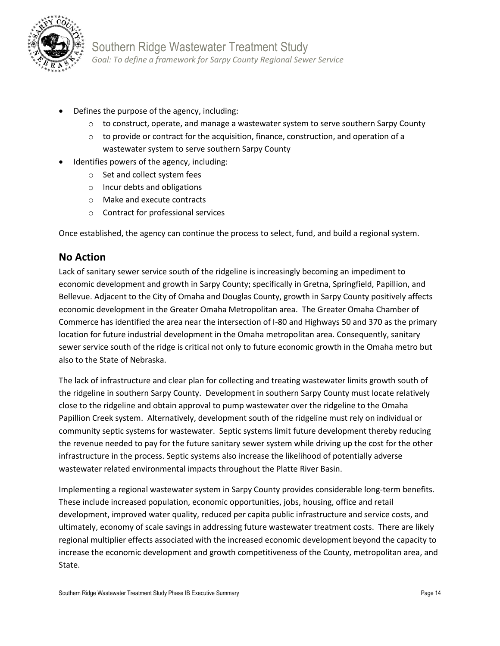

- Defines the purpose of the agency, including:
	- $\circ$  to construct, operate, and manage a wastewater system to serve southern Sarpy County
	- $\circ$  to provide or contract for the acquisition, finance, construction, and operation of a wastewater system to serve southern Sarpy County
- Identifies powers of the agency, including:
	- o Set and collect system fees
	- o Incur debts and obligations
	- o Make and execute contracts
	- o Contract for professional services

Once established, the agency can continue the process to select, fund, and build a regional system.

## **No Action**

Lack of sanitary sewer service south of the ridgeline is increasingly becoming an impediment to economic development and growth in Sarpy County; specifically in Gretna, Springfield, Papillion, and Bellevue. Adjacent to the City of Omaha and Douglas County, growth in Sarpy County positively affects economic development in the Greater Omaha Metropolitan area. The Greater Omaha Chamber of Commerce has identified the area near the intersection of I-80 and Highways 50 and 370 as the primary location for future industrial development in the Omaha metropolitan area. Consequently, sanitary sewer service south of the ridge is critical not only to future economic growth in the Omaha metro but also to the State of Nebraska.

The lack of infrastructure and clear plan for collecting and treating wastewater limits growth south of the ridgeline in southern Sarpy County. Development in southern Sarpy County must locate relatively close to the ridgeline and obtain approval to pump wastewater over the ridgeline to the Omaha Papillion Creek system. Alternatively, development south of the ridgeline must rely on individual or community septic systems for wastewater. Septic systems limit future development thereby reducing the revenue needed to pay for the future sanitary sewer system while driving up the cost for the other infrastructure in the process. Septic systems also increase the likelihood of potentially adverse wastewater related environmental impacts throughout the Platte River Basin.

Implementing a regional wastewater system in Sarpy County provides considerable long-term benefits. These include increased population, economic opportunities, jobs, housing, office and retail development, improved water quality, reduced per capita public infrastructure and service costs, and ultimately, economy of scale savings in addressing future wastewater treatment costs. There are likely regional multiplier effects associated with the increased economic development beyond the capacity to increase the economic development and growth competitiveness of the County, metropolitan area, and State.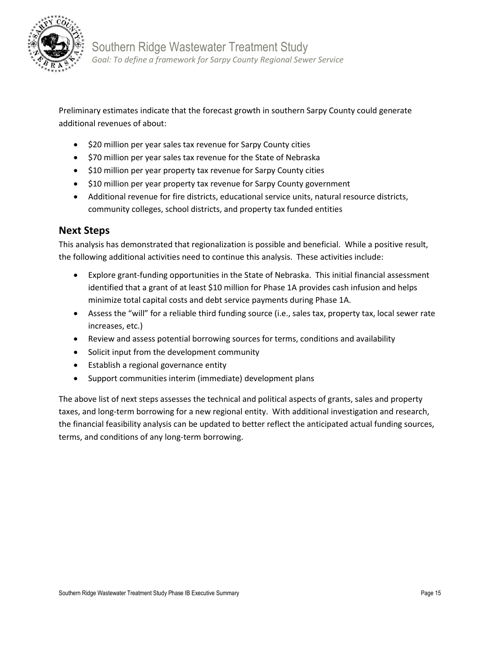

Preliminary estimates indicate that the forecast growth in southern Sarpy County could generate additional revenues of about:

- \$20 million per year sales tax revenue for Sarpy County cities
- \$70 million per year sales tax revenue for the State of Nebraska
- \$10 million per year property tax revenue for Sarpy County cities
- \$10 million per year property tax revenue for Sarpy County government
- Additional revenue for fire districts, educational service units, natural resource districts, community colleges, school districts, and property tax funded entities

## **Next Steps**

This analysis has demonstrated that regionalization is possible and beneficial. While a positive result, the following additional activities need to continue this analysis. These activities include:

- Explore grant-funding opportunities in the State of Nebraska. This initial financial assessment identified that a grant of at least \$10 million for Phase 1A provides cash infusion and helps minimize total capital costs and debt service payments during Phase 1A.
- Assess the "will" for a reliable third funding source (i.e., sales tax, property tax, local sewer rate increases, etc.)
- Review and assess potential borrowing sources for terms, conditions and availability
- Solicit input from the development community
- Establish a regional governance entity
- Support communities interim (immediate) development plans

The above list of next steps assesses the technical and political aspects of grants, sales and property taxes, and long-term borrowing for a new regional entity. With additional investigation and research, the financial feasibility analysis can be updated to better reflect the anticipated actual funding sources, terms, and conditions of any long-term borrowing.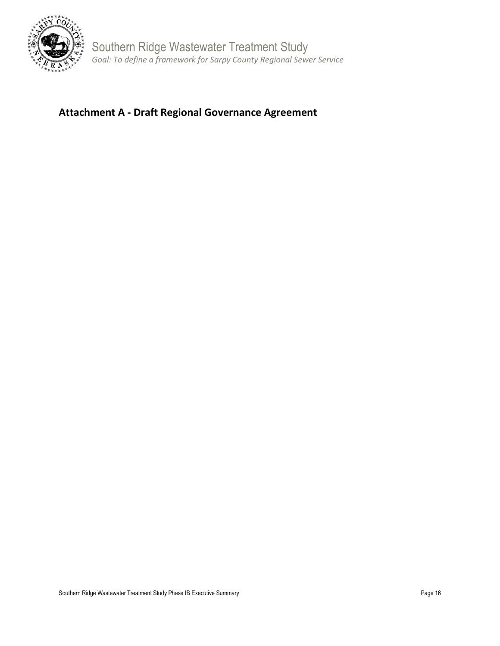

Southern Ridge Wastewater Treatment Study *Goal: To define a framework for Sarpy County Regional Sewer Service*

## **Attachment A - Draft Regional Governance Agreement**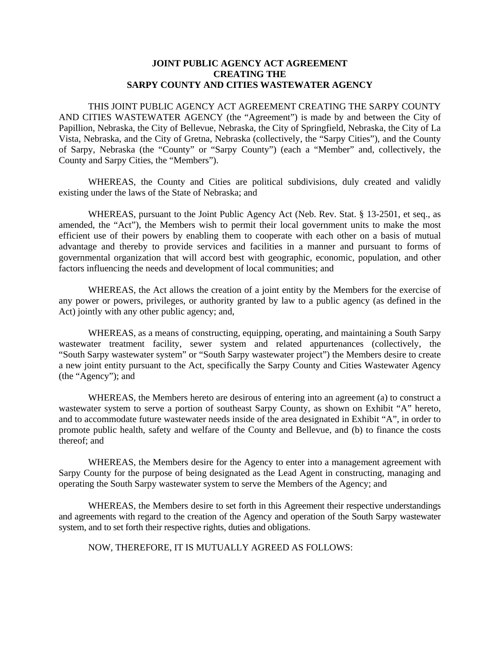## **JOINT PUBLIC AGENCY ACT AGREEMENT CREATING THE SARPY COUNTY AND CITIES WASTEWATER AGENCY**

THIS JOINT PUBLIC AGENCY ACT AGREEMENT CREATING THE SARPY COUNTY AND CITIES WASTEWATER AGENCY (the "Agreement") is made by and between the City of Papillion, Nebraska, the City of Bellevue, Nebraska, the City of Springfield, Nebraska, the City of La Vista, Nebraska, and the City of Gretna, Nebraska (collectively, the "Sarpy Cities"), and the County of Sarpy, Nebraska (the "County" or "Sarpy County") (each a "Member" and, collectively, the County and Sarpy Cities, the "Members").

WHEREAS, the County and Cities are political subdivisions, duly created and validly existing under the laws of the State of Nebraska; and

WHEREAS, pursuant to the Joint Public Agency Act (Neb. Rev. Stat. § 13-2501, et seq., as amended, the "Act"), the Members wish to permit their local government units to make the most efficient use of their powers by enabling them to cooperate with each other on a basis of mutual advantage and thereby to provide services and facilities in a manner and pursuant to forms of governmental organization that will accord best with geographic, economic, population, and other factors influencing the needs and development of local communities; and

WHEREAS, the Act allows the creation of a joint entity by the Members for the exercise of any power or powers, privileges, or authority granted by law to a public agency (as defined in the Act) jointly with any other public agency; and,

WHEREAS, as a means of constructing, equipping, operating, and maintaining a South Sarpy wastewater treatment facility, sewer system and related appurtenances (collectively, the "South Sarpy wastewater system" or "South Sarpy wastewater project") the Members desire to create a new joint entity pursuant to the Act, specifically the Sarpy County and Cities Wastewater Agency (the "Agency"); and

WHEREAS, the Members hereto are desirous of entering into an agreement (a) to construct a wastewater system to serve a portion of southeast Sarpy County, as shown on Exhibit "A" hereto, and to accommodate future wastewater needs inside of the area designated in Exhibit "A", in order to promote public health, safety and welfare of the County and Bellevue, and (b) to finance the costs thereof; and

WHEREAS, the Members desire for the Agency to enter into a management agreement with Sarpy County for the purpose of being designated as the Lead Agent in constructing, managing and operating the South Sarpy wastewater system to serve the Members of the Agency; and

WHEREAS, the Members desire to set forth in this Agreement their respective understandings and agreements with regard to the creation of the Agency and operation of the South Sarpy wastewater system, and to set forth their respective rights, duties and obligations.

NOW, THEREFORE, IT IS MUTUALLY AGREED AS FOLLOWS: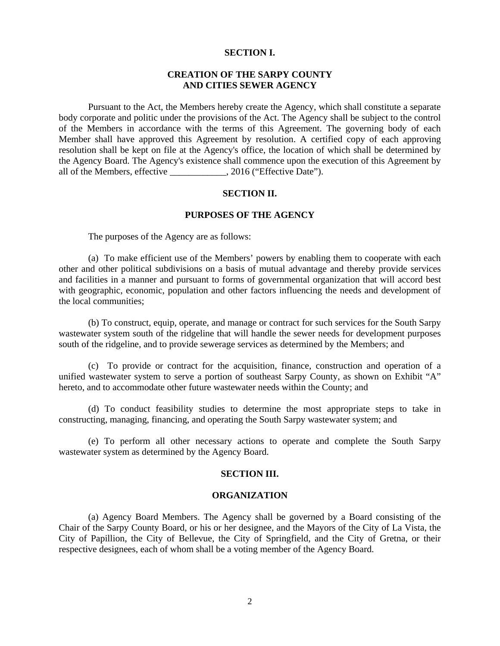## **SECTION I.**

## **CREATION OF THE SARPY COUNTY AND CITIES SEWER AGENCY**

 Pursuant to the Act, the Members hereby create the Agency, which shall constitute a separate body corporate and politic under the provisions of the Act. The Agency shall be subject to the control of the Members in accordance with the terms of this Agreement. The governing body of each Member shall have approved this Agreement by resolution. A certified copy of each approving resolution shall be kept on file at the Agency's office, the location of which shall be determined by the Agency Board. The Agency's existence shall commence upon the execution of this Agreement by all of the Members, effective \_\_\_\_\_\_\_\_\_\_\_\_, 2016 ("Effective Date").

## **SECTION II.**

## **PURPOSES OF THE AGENCY**

The purposes of the Agency are as follows:

 (a) To make efficient use of the Members' powers by enabling them to cooperate with each other and other political subdivisions on a basis of mutual advantage and thereby provide services and facilities in a manner and pursuant to forms of governmental organization that will accord best with geographic, economic, population and other factors influencing the needs and development of the local communities;

 (b) To construct, equip, operate, and manage or contract for such services for the South Sarpy wastewater system south of the ridgeline that will handle the sewer needs for development purposes south of the ridgeline, and to provide sewerage services as determined by the Members; and

 (c) To provide or contract for the acquisition, finance, construction and operation of a unified wastewater system to serve a portion of southeast Sarpy County, as shown on Exhibit "A" hereto, and to accommodate other future wastewater needs within the County; and

 (d) To conduct feasibility studies to determine the most appropriate steps to take in constructing, managing, financing, and operating the South Sarpy wastewater system; and

 (e) To perform all other necessary actions to operate and complete the South Sarpy wastewater system as determined by the Agency Board.

#### **SECTION III.**

#### **ORGANIZATION**

 (a) Agency Board Members. The Agency shall be governed by a Board consisting of the Chair of the Sarpy County Board, or his or her designee, and the Mayors of the City of La Vista, the City of Papillion, the City of Bellevue, the City of Springfield, and the City of Gretna, or their respective designees, each of whom shall be a voting member of the Agency Board.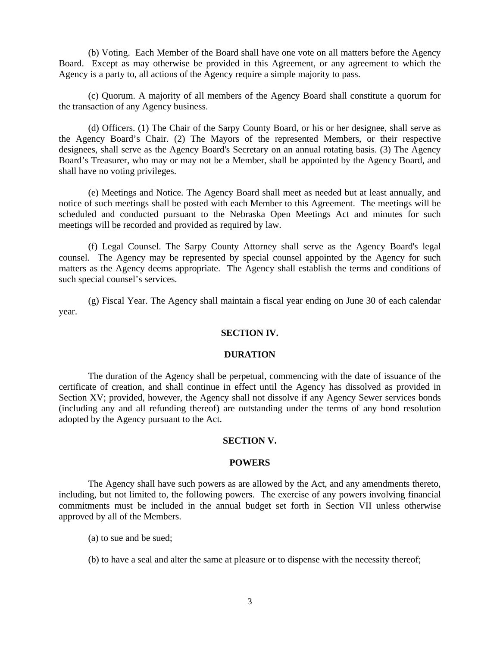(b) Voting. Each Member of the Board shall have one vote on all matters before the Agency Board. Except as may otherwise be provided in this Agreement, or any agreement to which the Agency is a party to, all actions of the Agency require a simple majority to pass.

 (c) Quorum. A majority of all members of the Agency Board shall constitute a quorum for the transaction of any Agency business.

 (d) Officers. (1) The Chair of the Sarpy County Board, or his or her designee, shall serve as the Agency Board's Chair. (2) The Mayors of the represented Members, or their respective designees, shall serve as the Agency Board's Secretary on an annual rotating basis. (3) The Agency Board's Treasurer, who may or may not be a Member, shall be appointed by the Agency Board, and shall have no voting privileges.

 (e) Meetings and Notice. The Agency Board shall meet as needed but at least annually, and notice of such meetings shall be posted with each Member to this Agreement. The meetings will be scheduled and conducted pursuant to the Nebraska Open Meetings Act and minutes for such meetings will be recorded and provided as required by law.

 (f) Legal Counsel. The Sarpy County Attorney shall serve as the Agency Board's legal counsel. The Agency may be represented by special counsel appointed by the Agency for such matters as the Agency deems appropriate. The Agency shall establish the terms and conditions of such special counsel's services.

(g) Fiscal Year. The Agency shall maintain a fiscal year ending on June 30 of each calendar year.

## **SECTION IV.**

## **DURATION**

 The duration of the Agency shall be perpetual, commencing with the date of issuance of the certificate of creation, and shall continue in effect until the Agency has dissolved as provided in Section XV; provided, however, the Agency shall not dissolve if any Agency Sewer services bonds (including any and all refunding thereof) are outstanding under the terms of any bond resolution adopted by the Agency pursuant to the Act.

## **SECTION V.**

#### **POWERS**

 The Agency shall have such powers as are allowed by the Act, and any amendments thereto, including, but not limited to, the following powers. The exercise of any powers involving financial commitments must be included in the annual budget set forth in Section VII unless otherwise approved by all of the Members.

(a) to sue and be sued;

(b) to have a seal and alter the same at pleasure or to dispense with the necessity thereof;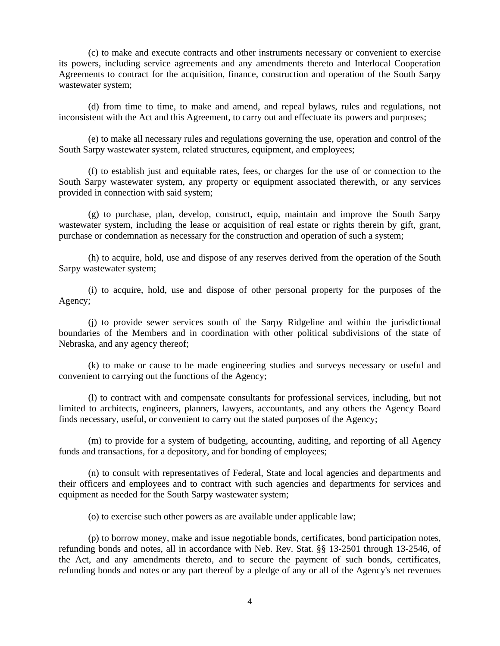(c) to make and execute contracts and other instruments necessary or convenient to exercise its powers, including service agreements and any amendments thereto and Interlocal Cooperation Agreements to contract for the acquisition, finance, construction and operation of the South Sarpy wastewater system;

 (d) from time to time, to make and amend, and repeal bylaws, rules and regulations, not inconsistent with the Act and this Agreement, to carry out and effectuate its powers and purposes;

 (e) to make all necessary rules and regulations governing the use, operation and control of the South Sarpy wastewater system, related structures, equipment, and employees;

 (f) to establish just and equitable rates, fees, or charges for the use of or connection to the South Sarpy wastewater system, any property or equipment associated therewith, or any services provided in connection with said system;

 (g) to purchase, plan, develop, construct, equip, maintain and improve the South Sarpy wastewater system, including the lease or acquisition of real estate or rights therein by gift, grant, purchase or condemnation as necessary for the construction and operation of such a system;

 (h) to acquire, hold, use and dispose of any reserves derived from the operation of the South Sarpy wastewater system;

 (i) to acquire, hold, use and dispose of other personal property for the purposes of the Agency;

 (j) to provide sewer services south of the Sarpy Ridgeline and within the jurisdictional boundaries of the Members and in coordination with other political subdivisions of the state of Nebraska, and any agency thereof;

 (k) to make or cause to be made engineering studies and surveys necessary or useful and convenient to carrying out the functions of the Agency;

 (l) to contract with and compensate consultants for professional services, including, but not limited to architects, engineers, planners, lawyers, accountants, and any others the Agency Board finds necessary, useful, or convenient to carry out the stated purposes of the Agency;

 (m) to provide for a system of budgeting, accounting, auditing, and reporting of all Agency funds and transactions, for a depository, and for bonding of employees;

 (n) to consult with representatives of Federal, State and local agencies and departments and their officers and employees and to contract with such agencies and departments for services and equipment as needed for the South Sarpy wastewater system;

(o) to exercise such other powers as are available under applicable law;

 (p) to borrow money, make and issue negotiable bonds, certificates, bond participation notes, refunding bonds and notes, all in accordance with Neb. Rev. Stat. §§ 13-2501 through 13-2546, of the Act, and any amendments thereto, and to secure the payment of such bonds, certificates, refunding bonds and notes or any part thereof by a pledge of any or all of the Agency's net revenues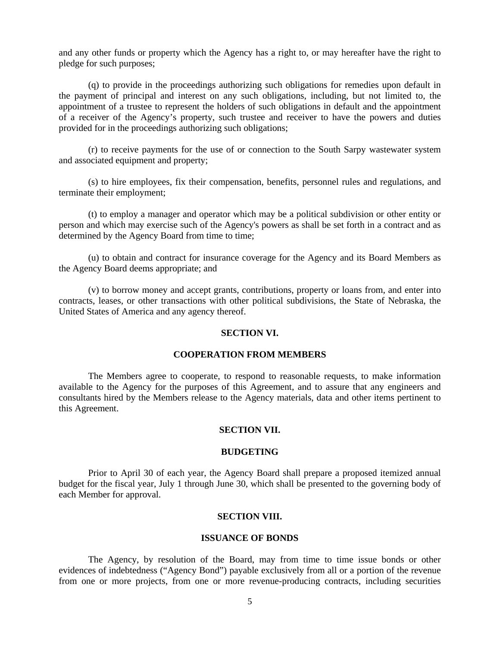and any other funds or property which the Agency has a right to, or may hereafter have the right to pledge for such purposes;

 (q) to provide in the proceedings authorizing such obligations for remedies upon default in the payment of principal and interest on any such obligations, including, but not limited to, the appointment of a trustee to represent the holders of such obligations in default and the appointment of a receiver of the Agency's property, such trustee and receiver to have the powers and duties provided for in the proceedings authorizing such obligations;

 (r) to receive payments for the use of or connection to the South Sarpy wastewater system and associated equipment and property;

 (s) to hire employees, fix their compensation, benefits, personnel rules and regulations, and terminate their employment;

 (t) to employ a manager and operator which may be a political subdivision or other entity or person and which may exercise such of the Agency's powers as shall be set forth in a contract and as determined by the Agency Board from time to time;

 (u) to obtain and contract for insurance coverage for the Agency and its Board Members as the Agency Board deems appropriate; and

 (v) to borrow money and accept grants, contributions, property or loans from, and enter into contracts, leases, or other transactions with other political subdivisions, the State of Nebraska, the United States of America and any agency thereof.

### **SECTION VI.**

## **COOPERATION FROM MEMBERS**

 The Members agree to cooperate, to respond to reasonable requests, to make information available to the Agency for the purposes of this Agreement, and to assure that any engineers and consultants hired by the Members release to the Agency materials, data and other items pertinent to this Agreement.

### **SECTION VII.**

#### **BUDGETING**

Prior to April 30 of each year, the Agency Board shall prepare a proposed itemized annual budget for the fiscal year, July 1 through June 30, which shall be presented to the governing body of each Member for approval.

## **SECTION VIII.**

### **ISSUANCE OF BONDS**

 The Agency, by resolution of the Board, may from time to time issue bonds or other evidences of indebtedness ("Agency Bond") payable exclusively from all or a portion of the revenue from one or more projects, from one or more revenue-producing contracts, including securities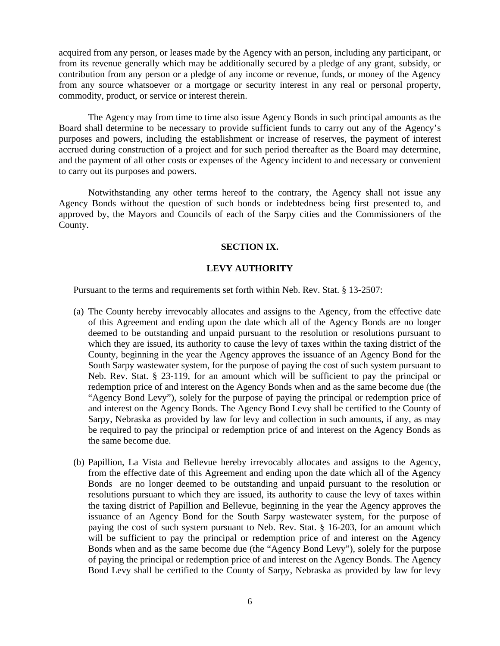acquired from any person, or leases made by the Agency with an person, including any participant, or from its revenue generally which may be additionally secured by a pledge of any grant, subsidy, or contribution from any person or a pledge of any income or revenue, funds, or money of the Agency from any source whatsoever or a mortgage or security interest in any real or personal property, commodity, product, or service or interest therein.

The Agency may from time to time also issue Agency Bonds in such principal amounts as the Board shall determine to be necessary to provide sufficient funds to carry out any of the Agency's purposes and powers, including the establishment or increase of reserves, the payment of interest accrued during construction of a project and for such period thereafter as the Board may determine, and the payment of all other costs or expenses of the Agency incident to and necessary or convenient to carry out its purposes and powers.

Notwithstanding any other terms hereof to the contrary, the Agency shall not issue any Agency Bonds without the question of such bonds or indebtedness being first presented to, and approved by, the Mayors and Councils of each of the Sarpy cities and the Commissioners of the County.

## **SECTION IX.**

## **LEVY AUTHORITY**

Pursuant to the terms and requirements set forth within Neb. Rev. Stat. § 13-2507:

- (a) The County hereby irrevocably allocates and assigns to the Agency, from the effective date of this Agreement and ending upon the date which all of the Agency Bonds are no longer deemed to be outstanding and unpaid pursuant to the resolution or resolutions pursuant to which they are issued, its authority to cause the levy of taxes within the taxing district of the County, beginning in the year the Agency approves the issuance of an Agency Bond for the South Sarpy wastewater system, for the purpose of paying the cost of such system pursuant to Neb. Rev. Stat. § 23-119, for an amount which will be sufficient to pay the principal or redemption price of and interest on the Agency Bonds when and as the same become due (the "Agency Bond Levy"), solely for the purpose of paying the principal or redemption price of and interest on the Agency Bonds. The Agency Bond Levy shall be certified to the County of Sarpy, Nebraska as provided by law for levy and collection in such amounts, if any, as may be required to pay the principal or redemption price of and interest on the Agency Bonds as the same become due.
- (b) Papillion, La Vista and Bellevue hereby irrevocably allocates and assigns to the Agency, from the effective date of this Agreement and ending upon the date which all of the Agency Bonds are no longer deemed to be outstanding and unpaid pursuant to the resolution or resolutions pursuant to which they are issued, its authority to cause the levy of taxes within the taxing district of Papillion and Bellevue, beginning in the year the Agency approves the issuance of an Agency Bond for the South Sarpy wastewater system, for the purpose of paying the cost of such system pursuant to Neb. Rev. Stat. § 16-203, for an amount which will be sufficient to pay the principal or redemption price of and interest on the Agency Bonds when and as the same become due (the "Agency Bond Levy"), solely for the purpose of paying the principal or redemption price of and interest on the Agency Bonds. The Agency Bond Levy shall be certified to the County of Sarpy, Nebraska as provided by law for levy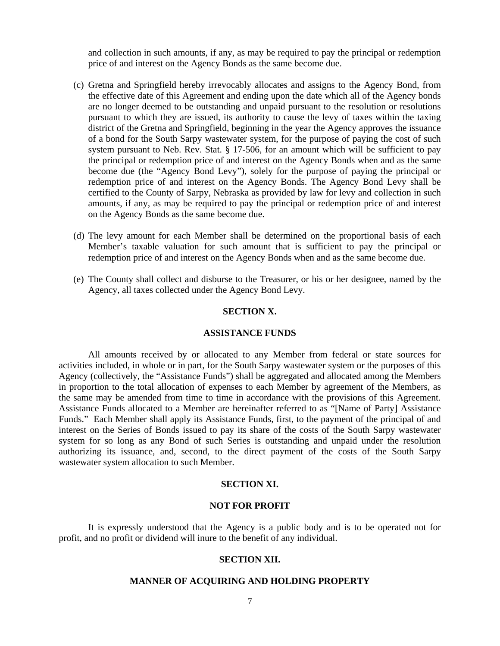and collection in such amounts, if any, as may be required to pay the principal or redemption price of and interest on the Agency Bonds as the same become due.

- (c) Gretna and Springfield hereby irrevocably allocates and assigns to the Agency Bond, from the effective date of this Agreement and ending upon the date which all of the Agency bonds are no longer deemed to be outstanding and unpaid pursuant to the resolution or resolutions pursuant to which they are issued, its authority to cause the levy of taxes within the taxing district of the Gretna and Springfield, beginning in the year the Agency approves the issuance of a bond for the South Sarpy wastewater system, for the purpose of paying the cost of such system pursuant to Neb. Rev. Stat. § 17-506, for an amount which will be sufficient to pay the principal or redemption price of and interest on the Agency Bonds when and as the same become due (the "Agency Bond Levy"), solely for the purpose of paying the principal or redemption price of and interest on the Agency Bonds. The Agency Bond Levy shall be certified to the County of Sarpy, Nebraska as provided by law for levy and collection in such amounts, if any, as may be required to pay the principal or redemption price of and interest on the Agency Bonds as the same become due.
- (d) The levy amount for each Member shall be determined on the proportional basis of each Member's taxable valuation for such amount that is sufficient to pay the principal or redemption price of and interest on the Agency Bonds when and as the same become due.
- (e) The County shall collect and disburse to the Treasurer, or his or her designee, named by the Agency, all taxes collected under the Agency Bond Levy.

## **SECTION X.**

### **ASSISTANCE FUNDS**

All amounts received by or allocated to any Member from federal or state sources for activities included, in whole or in part, for the South Sarpy wastewater system or the purposes of this Agency (collectively, the "Assistance Funds") shall be aggregated and allocated among the Members in proportion to the total allocation of expenses to each Member by agreement of the Members, as the same may be amended from time to time in accordance with the provisions of this Agreement. Assistance Funds allocated to a Member are hereinafter referred to as "[Name of Party] Assistance Funds." Each Member shall apply its Assistance Funds, first, to the payment of the principal of and interest on the Series of Bonds issued to pay its share of the costs of the South Sarpy wastewater system for so long as any Bond of such Series is outstanding and unpaid under the resolution authorizing its issuance, and, second, to the direct payment of the costs of the South Sarpy wastewater system allocation to such Member.

### **SECTION XI.**

#### **NOT FOR PROFIT**

 It is expressly understood that the Agency is a public body and is to be operated not for profit, and no profit or dividend will inure to the benefit of any individual.

#### **SECTION XII.**

### **MANNER OF ACQUIRING AND HOLDING PROPERTY**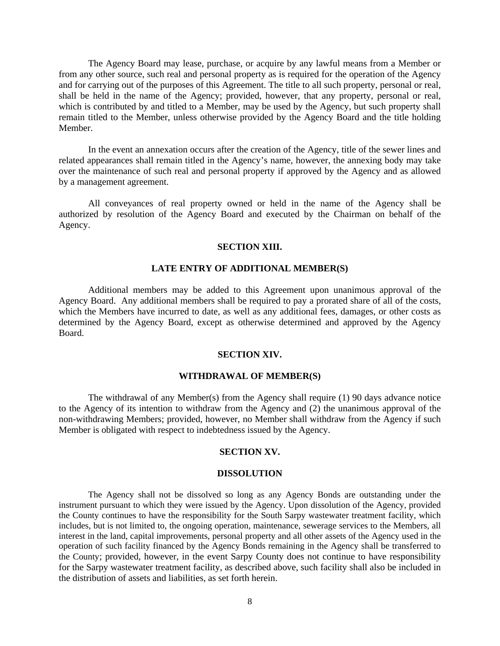The Agency Board may lease, purchase, or acquire by any lawful means from a Member or from any other source, such real and personal property as is required for the operation of the Agency and for carrying out of the purposes of this Agreement. The title to all such property, personal or real, shall be held in the name of the Agency; provided, however, that any property, personal or real, which is contributed by and titled to a Member, may be used by the Agency, but such property shall remain titled to the Member, unless otherwise provided by the Agency Board and the title holding Member.

In the event an annexation occurs after the creation of the Agency, title of the sewer lines and related appearances shall remain titled in the Agency's name, however, the annexing body may take over the maintenance of such real and personal property if approved by the Agency and as allowed by a management agreement.

 All conveyances of real property owned or held in the name of the Agency shall be authorized by resolution of the Agency Board and executed by the Chairman on behalf of the Agency.

### **SECTION XIII.**

## **LATE ENTRY OF ADDITIONAL MEMBER(S)**

 Additional members may be added to this Agreement upon unanimous approval of the Agency Board. Any additional members shall be required to pay a prorated share of all of the costs, which the Members have incurred to date, as well as any additional fees, damages, or other costs as determined by the Agency Board, except as otherwise determined and approved by the Agency Board.

#### **SECTION XIV.**

### **WITHDRAWAL OF MEMBER(S)**

 The withdrawal of any Member(s) from the Agency shall require (1) 90 days advance notice to the Agency of its intention to withdraw from the Agency and (2) the unanimous approval of the non-withdrawing Members; provided, however, no Member shall withdraw from the Agency if such Member is obligated with respect to indebtedness issued by the Agency.

#### **SECTION XV.**

#### **DISSOLUTION**

The Agency shall not be dissolved so long as any Agency Bonds are outstanding under the instrument pursuant to which they were issued by the Agency. Upon dissolution of the Agency, provided the County continues to have the responsibility for the South Sarpy wastewater treatment facility, which includes, but is not limited to, the ongoing operation, maintenance, sewerage services to the Members, all interest in the land, capital improvements, personal property and all other assets of the Agency used in the operation of such facility financed by the Agency Bonds remaining in the Agency shall be transferred to the County; provided, however, in the event Sarpy County does not continue to have responsibility for the Sarpy wastewater treatment facility, as described above, such facility shall also be included in the distribution of assets and liabilities, as set forth herein.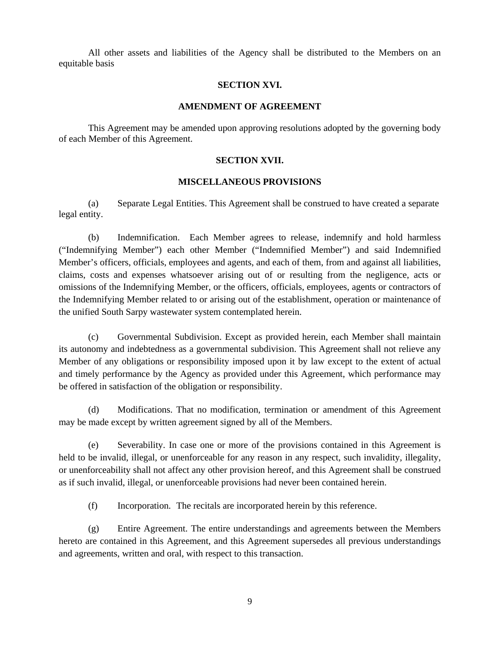All other assets and liabilities of the Agency shall be distributed to the Members on an equitable basis

## **SECTION XVI.**

## **AMENDMENT OF AGREEMENT**

 This Agreement may be amended upon approving resolutions adopted by the governing body of each Member of this Agreement.

## **SECTION XVII.**

## **MISCELLANEOUS PROVISIONS**

(a) Separate Legal Entities. This Agreement shall be construed to have created a separate legal entity.

(b) Indemnification. Each Member agrees to release, indemnify and hold harmless ("Indemnifying Member") each other Member ("Indemnified Member") and said Indemnified Member's officers, officials, employees and agents, and each of them, from and against all liabilities, claims, costs and expenses whatsoever arising out of or resulting from the negligence, acts or omissions of the Indemnifying Member, or the officers, officials, employees, agents or contractors of the Indemnifying Member related to or arising out of the establishment, operation or maintenance of the unified South Sarpy wastewater system contemplated herein.

(c) Governmental Subdivision. Except as provided herein, each Member shall maintain its autonomy and indebtedness as a governmental subdivision. This Agreement shall not relieve any Member of any obligations or responsibility imposed upon it by law except to the extent of actual and timely performance by the Agency as provided under this Agreement, which performance may be offered in satisfaction of the obligation or responsibility.

(d) Modifications. That no modification, termination or amendment of this Agreement may be made except by written agreement signed by all of the Members.

(e) Severability. In case one or more of the provisions contained in this Agreement is held to be invalid, illegal, or unenforceable for any reason in any respect, such invalidity, illegality, or unenforceability shall not affect any other provision hereof, and this Agreement shall be construed as if such invalid, illegal, or unenforceable provisions had never been contained herein.

(f) Incorporation. The recitals are incorporated herein by this reference.

(g) Entire Agreement. The entire understandings and agreements between the Members hereto are contained in this Agreement, and this Agreement supersedes all previous understandings and agreements, written and oral, with respect to this transaction.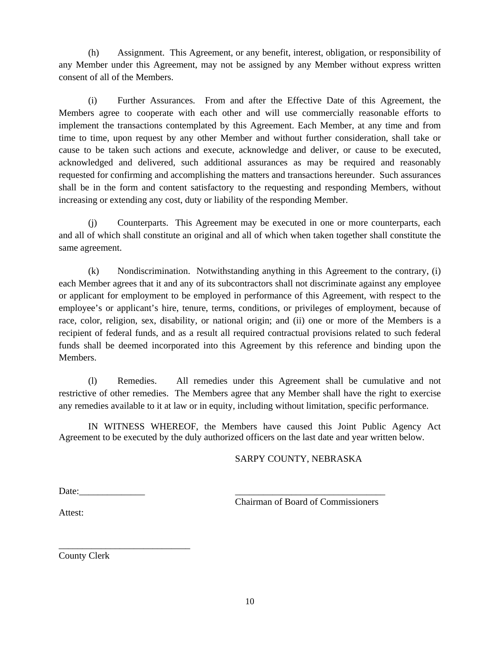(h) Assignment. This Agreement, or any benefit, interest, obligation, or responsibility of any Member under this Agreement, may not be assigned by any Member without express written consent of all of the Members.

(i) Further Assurances. From and after the Effective Date of this Agreement, the Members agree to cooperate with each other and will use commercially reasonable efforts to implement the transactions contemplated by this Agreement. Each Member, at any time and from time to time, upon request by any other Member and without further consideration, shall take or cause to be taken such actions and execute, acknowledge and deliver, or cause to be executed, acknowledged and delivered, such additional assurances as may be required and reasonably requested for confirming and accomplishing the matters and transactions hereunder. Such assurances shall be in the form and content satisfactory to the requesting and responding Members, without increasing or extending any cost, duty or liability of the responding Member.

(j) Counterparts. This Agreement may be executed in one or more counterparts, each and all of which shall constitute an original and all of which when taken together shall constitute the same agreement.

(k) Nondiscrimination. Notwithstanding anything in this Agreement to the contrary, (i) each Member agrees that it and any of its subcontractors shall not discriminate against any employee or applicant for employment to be employed in performance of this Agreement, with respect to the employee's or applicant's hire, tenure, terms, conditions, or privileges of employment, because of race, color, religion, sex, disability, or national origin; and (ii) one or more of the Members is a recipient of federal funds, and as a result all required contractual provisions related to such federal funds shall be deemed incorporated into this Agreement by this reference and binding upon the Members.

(l) Remedies. All remedies under this Agreement shall be cumulative and not restrictive of other remedies. The Members agree that any Member shall have the right to exercise any remedies available to it at law or in equity, including without limitation, specific performance.

 IN WITNESS WHEREOF, the Members have caused this Joint Public Agency Act Agreement to be executed by the duly authorized officers on the last date and year written below.

## SARPY COUNTY, NEBRASKA

Date:

\_\_\_\_\_\_\_\_\_\_\_\_\_\_\_\_\_\_\_\_\_\_\_\_\_\_\_\_

Chairman of Board of Commissioners

Attest:

County Clerk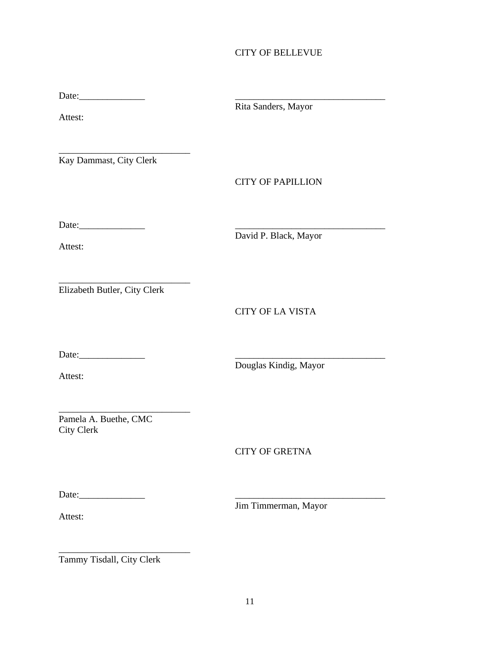## CITY OF BELLEVUE

Date:\_\_\_\_\_\_\_\_\_\_\_\_\_\_ \_\_\_\_\_\_\_\_\_\_\_\_\_\_\_\_\_\_\_\_\_\_\_\_\_\_\_\_\_\_\_\_

Attest:

\_\_\_\_\_\_\_\_\_\_\_\_\_\_\_\_\_\_\_\_\_\_\_\_\_\_\_\_ Kay Dammast, City Clerk

Rita Sanders, Mayor

CITY OF PAPILLION

Date:\_\_\_\_\_\_\_\_\_\_\_\_\_\_ \_\_\_\_\_\_\_\_\_\_\_\_\_\_\_\_\_\_\_\_\_\_\_\_\_\_\_\_\_\_\_\_

Attest:

David P. Black, Mayor

Elizabeth Butler, City Clerk

\_\_\_\_\_\_\_\_\_\_\_\_\_\_\_\_\_\_\_\_\_\_\_\_\_\_\_\_

CITY OF LA VISTA

Date:\_\_\_\_\_\_\_\_\_\_\_\_\_\_ \_\_\_\_\_\_\_\_\_\_\_\_\_\_\_\_\_\_\_\_\_\_\_\_\_\_\_\_\_\_\_\_

Attest:

Douglas Kindig, Mayor

\_\_\_\_\_\_\_\_\_\_\_\_\_\_\_\_\_\_\_\_\_\_\_\_\_\_\_\_ Pamela A. Buethe, CMC City Clerk

CITY OF GRETNA

Date:\_\_\_\_\_\_\_\_\_\_\_\_\_\_ \_\_\_\_\_\_\_\_\_\_\_\_\_\_\_\_\_\_\_\_\_\_\_\_\_\_\_\_\_\_\_\_

Jim Timmerman, Mayor

Attest:

\_\_\_\_\_\_\_\_\_\_\_\_\_\_\_\_\_\_\_\_\_\_\_\_\_\_\_\_ Tammy Tisdall, City Clerk